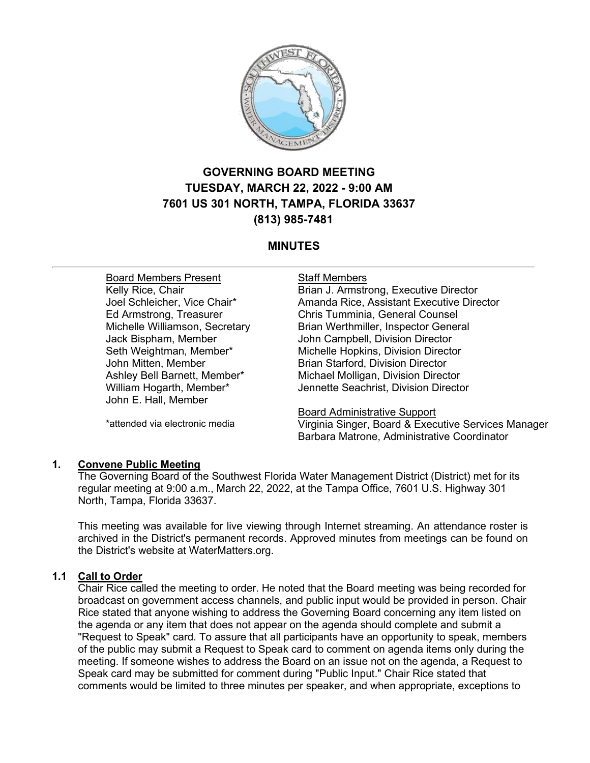

# **GOVERNING BOARD MEETING TUESDAY, MARCH 22, 2022 - 9:00 AM 7601 US 301 NORTH, TAMPA, FLORIDA 33637 (813) 985-7481**

# **MINUTES**

Board Members Present Kelly Rice, Chair Joel Schleicher, Vice Chair\* Ed Armstrong, Treasurer Michelle Williamson, Secretary Jack Bispham, Member Seth Weightman, Member\* John Mitten, Member Ashley Bell Barnett, Member\* William Hogarth, Member\* John E. Hall, Member

\*attended via electronic media

## Staff Members

Brian J. Armstrong, Executive Director Amanda Rice, Assistant Executive Director Chris Tumminia, General Counsel Brian Werthmiller, Inspector General John Campbell, Division Director Michelle Hopkins, Division Director Brian Starford, Division Director Michael Molligan, Division Director Jennette Seachrist, Division Director

Board Administrative Support Virginia Singer, Board & Executive Services Manager Barbara Matrone, Administrative Coordinator

# **1. Convene Public Meeting**

The Governing Board of the Southwest Florida Water Management District (District) met for its regular meeting at 9:00 a.m., March 22, 2022, at the Tampa Office, 7601 U.S. Highway 301 North, Tampa, Florida 33637.

This meeting was available for live viewing through Internet streaming. An attendance roster is archived in the District's permanent records. Approved minutes from meetings can be found on the District's website at WaterMatters.org.

# **1.1 Call to Order**

Chair Rice called the meeting to order. He noted that the Board meeting was being recorded for broadcast on government access channels, and public input would be provided in person. Chair Rice stated that anyone wishing to address the Governing Board concerning any item listed on the agenda or any item that does not appear on the agenda should complete and submit a "Request to Speak" card. To assure that all participants have an opportunity to speak, members of the public may submit a Request to Speak card to comment on agenda items only during the meeting. If someone wishes to address the Board on an issue not on the agenda, a Request to Speak card may be submitted for comment during "Public Input." Chair Rice stated that comments would be limited to three minutes per speaker, and when appropriate, exceptions to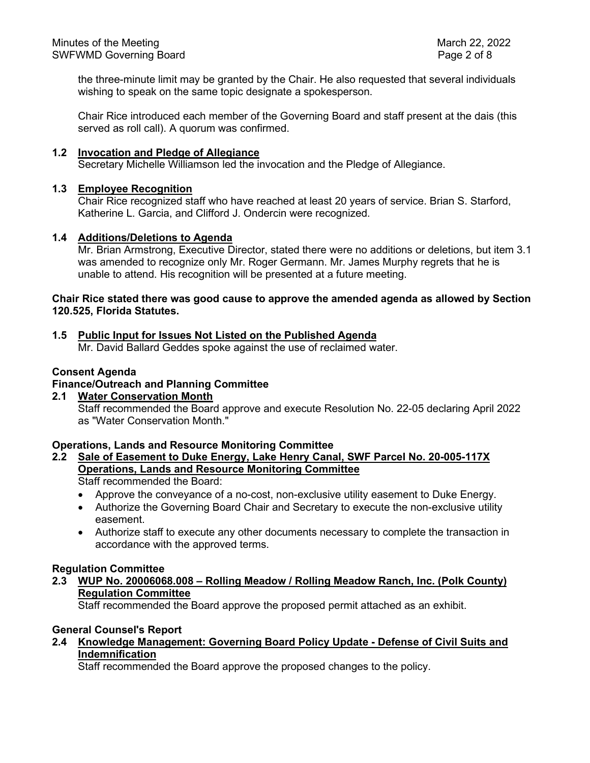the three-minute limit may be granted by the Chair. He also requested that several individuals wishing to speak on the same topic designate a spokesperson.

Chair Rice introduced each member of the Governing Board and staff present at the dais (this served as roll call). A quorum was confirmed.

#### **1.2 Invocation and Pledge of Allegiance**

Secretary Michelle Williamson led the invocation and the Pledge of Allegiance.

#### **1.3 Employee Recognition**

Chair Rice recognized staff who have reached at least 20 years of service. Brian S. Starford, Katherine L. Garcia, and Clifford J. Ondercin were recognized.

#### **1.4 Additions/Deletions to Agenda**

Mr. Brian Armstrong, Executive Director, stated there were no additions or deletions, but item 3.1 was amended to recognize only Mr. Roger Germann. Mr. James Murphy regrets that he is unable to attend. His recognition will be presented at a future meeting.

#### **Chair Rice stated there was good cause to approve the amended agenda as allowed by Section 120.525, Florida Statutes.**

# **1.5 Public Input for Issues Not Listed on the Published Agenda**

Mr. David Ballard Geddes spoke against the use of reclaimed water.

#### **Consent Agenda**

# **Finance/Outreach and Planning Committee**

**2.1 Water Conservation Month** Staff recommended the Board approve and execute Resolution No. 22-05 declaring April 2022 as "Water Conservation Month."

#### **Operations, Lands and Resource Monitoring Committee**

**2.2 Sale of Easement to Duke Energy, Lake Henry Canal, SWF Parcel No. 20-005-117X Operations, Lands and Resource Monitoring Committee**

Staff recommended the Board:

- Approve the conveyance of a no-cost, non-exclusive utility easement to Duke Energy.
- Authorize the Governing Board Chair and Secretary to execute the non-exclusive utility easement.
- Authorize staff to execute any other documents necessary to complete the transaction in accordance with the approved terms.

#### **Regulation Committee**

**2.3 WUP No. 20006068.008 – Rolling Meadow / Rolling Meadow Ranch, Inc. (Polk County) Regulation Committee**

Staff recommended the Board approve the proposed permit attached as an exhibit.

## **General Counsel's Report**

**2.4 Knowledge Management: Governing Board Policy Update - Defense of Civil Suits and Indemnification**

Staff recommended the Board approve the proposed changes to the policy.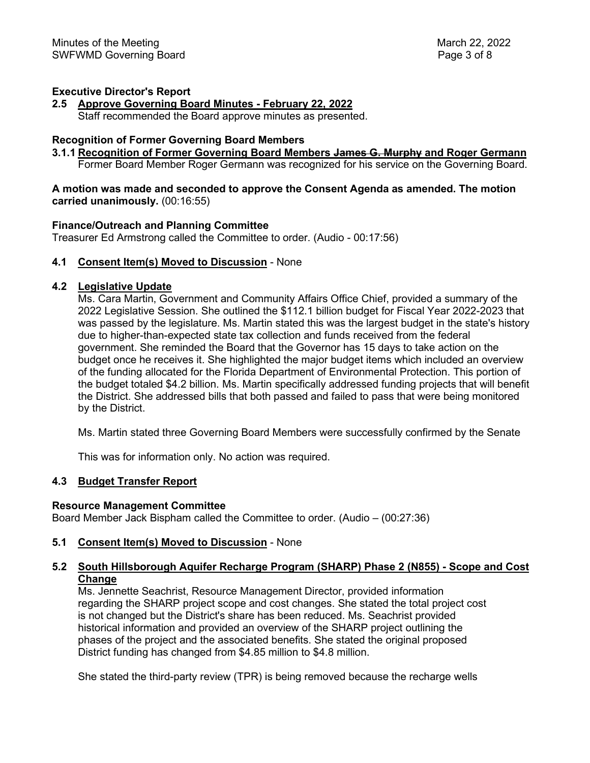#### **Executive Director's Report**

**2.5 Approve Governing Board Minutes - February 22, 2022** Staff recommended the Board approve minutes as presented.

#### **Recognition of Former Governing Board Members**

#### **3.1.1 Recognition of Former Governing Board Members James G. Murphy and Roger Germann**

Former Board Member Roger Germann was recognized for his service on the Governing Board.

#### **A motion was made and seconded to approve the Consent Agenda as amended. The motion carried unanimously.** (00:16:55)

#### **Finance/Outreach and Planning Committee**

Treasurer Ed Armstrong called the Committee to order. (Audio - 00:17:56)

## **4.1 Consent Item(s) Moved to Discussion** - None

#### **4.2 Legislative Update**

Ms. Cara Martin, Government and Community Affairs Office Chief, provided a summary of the 2022 Legislative Session. She outlined the \$112.1 billion budget for Fiscal Year 2022-2023 that was passed by the legislature. Ms. Martin stated this was the largest budget in the state's history due to higher-than-expected state tax collection and funds received from the federal government. She reminded the Board that the Governor has 15 days to take action on the budget once he receives it. She highlighted the major budget items which included an overview of the funding allocated for the Florida Department of Environmental Protection. This portion of the budget totaled \$4.2 billion. Ms. Martin specifically addressed funding projects that will benefit the District. She addressed bills that both passed and failed to pass that were being monitored by the District.

Ms. Martin stated three Governing Board Members were successfully confirmed by the Senate

This was for information only. No action was required.

#### **4.3 Budget Transfer Report**

#### **Resource Management Committee**

Board Member Jack Bispham called the Committee to order. (Audio – (00:27:36)

#### **5.1 Consent Item(s) Moved to Discussion** - None

## **5.2 South Hillsborough Aquifer Recharge Program (SHARP) Phase 2 (N855) - Scope and Cost Change**

Ms. Jennette Seachrist, Resource Management Director, provided information regarding the SHARP project scope and cost changes. She stated the total project cost is not changed but the District's share has been reduced. Ms. Seachrist provided historical information and provided an overview of the SHARP project outlining the phases of the project and the associated benefits. She stated the original proposed District funding has changed from \$4.85 million to \$4.8 million.

She stated the third-party review (TPR) is being removed because the recharge wells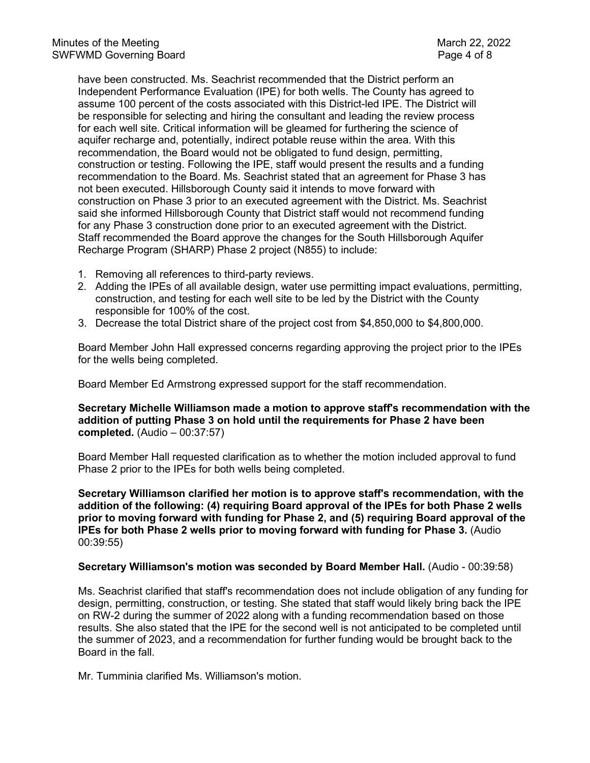have been constructed. Ms. Seachrist recommended that the District perform an Independent Performance Evaluation (IPE) for both wells. The County has agreed to assume 100 percent of the costs associated with this District-led IPE. The District will be responsible for selecting and hiring the consultant and leading the review process for each well site. Critical information will be gleamed for furthering the science of aquifer recharge and, potentially, indirect potable reuse within the area. With this recommendation, the Board would not be obligated to fund design, permitting, construction or testing. Following the IPE, staff would present the results and a funding recommendation to the Board. Ms. Seachrist stated that an agreement for Phase 3 has not been executed. Hillsborough County said it intends to move forward with construction on Phase 3 prior to an executed agreement with the District. Ms. Seachrist said she informed Hillsborough County that District staff would not recommend funding for any Phase 3 construction done prior to an executed agreement with the District. Staff recommended the Board approve the changes for the South Hillsborough Aquifer Recharge Program (SHARP) Phase 2 project (N855) to include:

- 1. Removing all references to third-party reviews.
- 2. Adding the IPEs of all available design, water use permitting impact evaluations, permitting, construction, and testing for each well site to be led by the District with the County responsible for 100% of the cost.
- 3. Decrease the total District share of the project cost from \$4,850,000 to \$4,800,000.

Board Member John Hall expressed concerns regarding approving the project prior to the IPEs for the wells being completed.

Board Member Ed Armstrong expressed support for the staff recommendation.

**Secretary Michelle Williamson made a motion to approve staff's recommendation with the addition of putting Phase 3 on hold until the requirements for Phase 2 have been completed.** (Audio – 00:37:57)

Board Member Hall requested clarification as to whether the motion included approval to fund Phase 2 prior to the IPEs for both wells being completed.

**Secretary Williamson clarified her motion is to approve staff's recommendation, with the addition of the following: (4) requiring Board approval of the IPEs for both Phase 2 wells prior to moving forward with funding for Phase 2, and (5) requiring Board approval of the IPEs for both Phase 2 wells prior to moving forward with funding for Phase 3.** (Audio 00:39:55)

#### **Secretary Williamson's motion was seconded by Board Member Hall.** (Audio - 00:39:58)

Ms. Seachrist clarified that staff's recommendation does not include obligation of any funding for design, permitting, construction, or testing. She stated that staff would likely bring back the IPE on RW-2 during the summer of 2022 along with a funding recommendation based on those results. She also stated that the IPE for the second well is not anticipated to be completed until the summer of 2023, and a recommendation for further funding would be brought back to the Board in the fall.

Mr. Tumminia clarified Ms. Williamson's motion.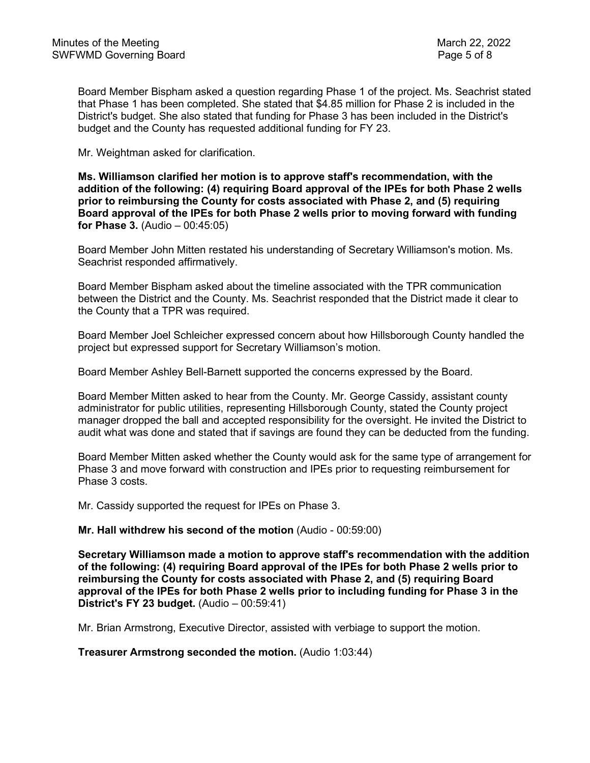Board Member Bispham asked a question regarding Phase 1 of the project. Ms. Seachrist stated that Phase 1 has been completed. She stated that \$4.85 million for Phase 2 is included in the District's budget. She also stated that funding for Phase 3 has been included in the District's budget and the County has requested additional funding for FY 23.

Mr. Weightman asked for clarification.

**Ms. Williamson clarified her motion is to approve staff's recommendation, with the addition of the following: (4) requiring Board approval of the IPEs for both Phase 2 wells prior to reimbursing the County for costs associated with Phase 2, and (5) requiring Board approval of the IPEs for both Phase 2 wells prior to moving forward with funding for Phase 3.** (Audio – 00:45:05)

Board Member John Mitten restated his understanding of Secretary Williamson's motion. Ms. Seachrist responded affirmatively.

Board Member Bispham asked about the timeline associated with the TPR communication between the District and the County. Ms. Seachrist responded that the District made it clear to the County that a TPR was required.

Board Member Joel Schleicher expressed concern about how Hillsborough County handled the project but expressed support for Secretary Williamson's motion.

Board Member Ashley Bell-Barnett supported the concerns expressed by the Board.

Board Member Mitten asked to hear from the County. Mr. George Cassidy, assistant county administrator for public utilities, representing Hillsborough County, stated the County project manager dropped the ball and accepted responsibility for the oversight. He invited the District to audit what was done and stated that if savings are found they can be deducted from the funding.

Board Member Mitten asked whether the County would ask for the same type of arrangement for Phase 3 and move forward with construction and IPEs prior to requesting reimbursement for Phase 3 costs.

Mr. Cassidy supported the request for IPEs on Phase 3.

**Mr. Hall withdrew his second of the motion** (Audio - 00:59:00)

**Secretary Williamson made a motion to approve staff's recommendation with the addition of the following: (4) requiring Board approval of the IPEs for both Phase 2 wells prior to reimbursing the County for costs associated with Phase 2, and (5) requiring Board approval of the IPEs for both Phase 2 wells prior to including funding for Phase 3 in the District's FY 23 budget.** (Audio – 00:59:41)

Mr. Brian Armstrong, Executive Director, assisted with verbiage to support the motion.

**Treasurer Armstrong seconded the motion.** (Audio 1:03:44)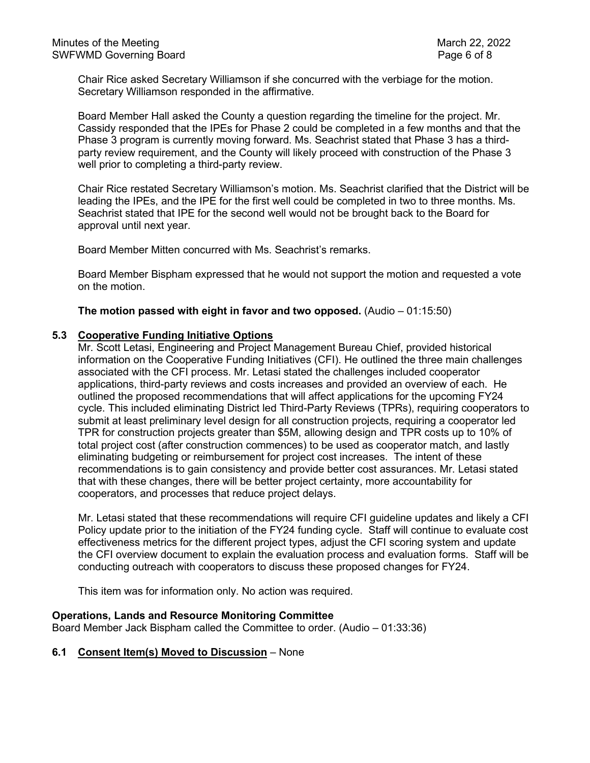Chair Rice asked Secretary Williamson if she concurred with the verbiage for the motion. Secretary Williamson responded in the affirmative.

Board Member Hall asked the County a question regarding the timeline for the project. Mr. Cassidy responded that the IPEs for Phase 2 could be completed in a few months and that the Phase 3 program is currently moving forward. Ms. Seachrist stated that Phase 3 has a thirdparty review requirement, and the County will likely proceed with construction of the Phase 3 well prior to completing a third-party review.

Chair Rice restated Secretary Williamson's motion. Ms. Seachrist clarified that the District will be leading the IPEs, and the IPE for the first well could be completed in two to three months. Ms. Seachrist stated that IPE for the second well would not be brought back to the Board for approval until next year.

Board Member Mitten concurred with Ms. Seachrist's remarks.

Board Member Bispham expressed that he would not support the motion and requested a vote on the motion.

**The motion passed with eight in favor and two opposed.** (Audio – 01:15:50)

#### **5.3 Cooperative Funding Initiative Options**

Mr. Scott Letasi, Engineering and Project Management Bureau Chief, provided historical information on the Cooperative Funding Initiatives (CFI). He outlined the three main challenges associated with the CFI process. Mr. Letasi stated the challenges included cooperator applications, third-party reviews and costs increases and provided an overview of each. He outlined the proposed recommendations that will affect applications for the upcoming FY24 cycle. This included eliminating District led Third-Party Reviews (TPRs), requiring cooperators to submit at least preliminary level design for all construction projects, requiring a cooperator led TPR for construction projects greater than \$5M, allowing design and TPR costs up to 10% of total project cost (after construction commences) to be used as cooperator match, and lastly eliminating budgeting or reimbursement for project cost increases. The intent of these recommendations is to gain consistency and provide better cost assurances. Mr. Letasi stated that with these changes, there will be better project certainty, more accountability for cooperators, and processes that reduce project delays.

Mr. Letasi stated that these recommendations will require CFI guideline updates and likely a CFI Policy update prior to the initiation of the FY24 funding cycle. Staff will continue to evaluate cost effectiveness metrics for the different project types, adjust the CFI scoring system and update the CFI overview document to explain the evaluation process and evaluation forms. Staff will be conducting outreach with cooperators to discuss these proposed changes for FY24.

This item was for information only. No action was required.

#### **Operations, Lands and Resource Monitoring Committee**

Board Member Jack Bispham called the Committee to order. (Audio – 01:33:36)

#### **6.1 Consent Item(s) Moved to Discussion** – None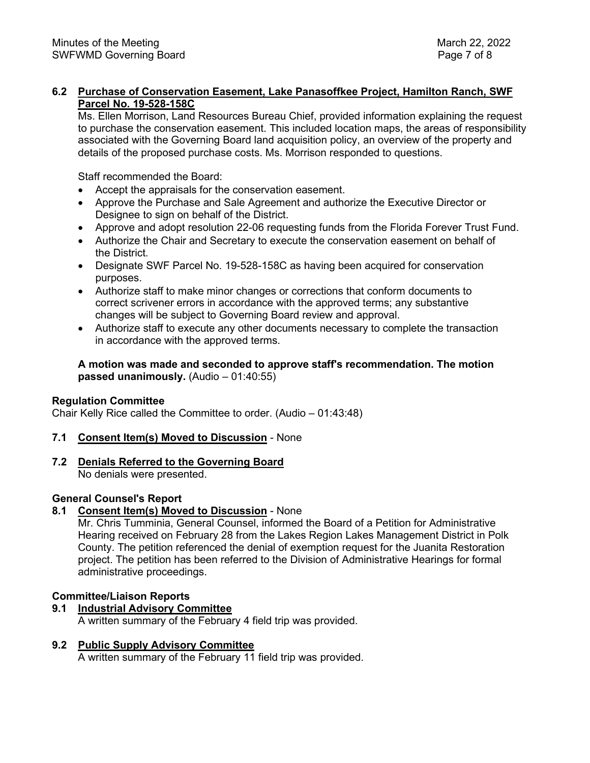# **6.2 Purchase of Conservation Easement, Lake Panasoffkee Project, Hamilton Ranch, SWF Parcel No. 19-528-158C**

Ms. Ellen Morrison, Land Resources Bureau Chief, provided information explaining the request to purchase the conservation easement. This included location maps, the areas of responsibility associated with the Governing Board land acquisition policy, an overview of the property and details of the proposed purchase costs. Ms. Morrison responded to questions.

Staff recommended the Board:

- Accept the appraisals for the conservation easement.
- Approve the Purchase and Sale Agreement and authorize the Executive Director or Designee to sign on behalf of the District.
- Approve and adopt resolution 22-06 requesting funds from the Florida Forever Trust Fund.
- Authorize the Chair and Secretary to execute the conservation easement on behalf of the District.
- Designate SWF Parcel No. 19-528-158C as having been acquired for conservation purposes.
- Authorize staff to make minor changes or corrections that conform documents to correct scrivener errors in accordance with the approved terms; any substantive changes will be subject to Governing Board review and approval.
- Authorize staff to execute any other documents necessary to complete the transaction in accordance with the approved terms.

**A motion was made and seconded to approve staff's recommendation. The motion passed unanimously.** (Audio – 01:40:55)

#### **Regulation Committee**

Chair Kelly Rice called the Committee to order. (Audio – 01:43:48)

#### **7.1 Consent Item(s) Moved to Discussion** - None

**7.2 Denials Referred to the Governing Board**

No denials were presented.

#### **General Counsel's Report**

# **8.1 Consent Item(s) Moved to Discussion** - None

Mr. Chris Tumminia, General Counsel, informed the Board of a Petition for Administrative Hearing received on February 28 from the Lakes Region Lakes Management District in Polk County. The petition referenced the denial of exemption request for the Juanita Restoration project. The petition has been referred to the Division of Administrative Hearings for formal administrative proceedings.

#### **Committee/Liaison Reports**

**9.1 Industrial Advisory Committee**

A written summary of the February 4 field trip was provided.

# **9.2 Public Supply Advisory Committee**

A written summary of the February 11 field trip was provided.